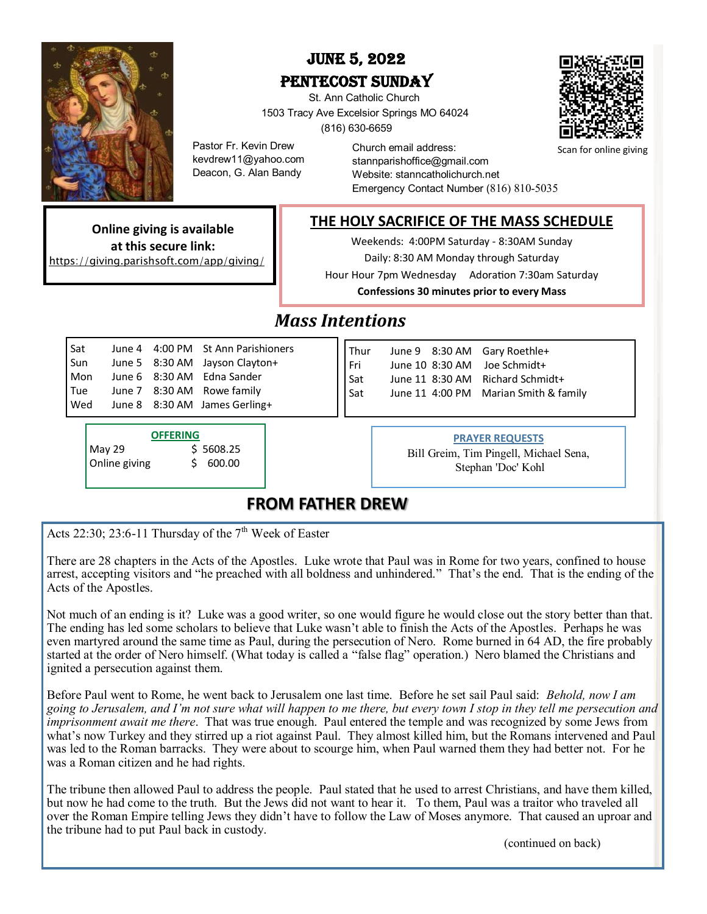

## June 5, 2022 PENTECOST SUNDAY

 St. Ann Catholic Church 1503 Tracy Ave Excelsior Springs MO 64024 (816) 630-6659



Scan for online giving

Pastor Fr. Kevin Drew kevdrew11@yahoo.com Deacon, G. Alan Bandy

Church email address: stannparishoffice@gmail.com Website: stanncatholichurch.net Emergency Contact Number (816) 810-5035

**THE HOLY SACRIFICE OF THE MASS SCHEDULE**

Weekends: 4:00PM Saturday - 8:30AM Sunday Daily: 8:30 AM Monday through Saturday

Hour Hour 7pm Wednesday Adoration 7:30am Saturday

**Confessions 30 minutes prior to every Mass**

# *Mass Intentions*

|  | June 4 4:00 PM St Ann Parishioners                                                                                          |
|--|-----------------------------------------------------------------------------------------------------------------------------|
|  |                                                                                                                             |
|  |                                                                                                                             |
|  |                                                                                                                             |
|  |                                                                                                                             |
|  | June 5 8:30 AM Jayson Clayton+<br>June 6 8:30 AM Edna Sander<br>June 7 8:30 AM Rowe family<br>June 8 8:30 AM James Gerling+ |

| <b>OFFERING</b> |  |           |  |  |
|-----------------|--|-----------|--|--|
| May 29          |  | \$5608.25 |  |  |
| Online giving   |  | \$600.00  |  |  |

**Online giving is available at this secure link:** [https://giving.parishsoft.com/app/giving/](https://giving.parishsoft.com/app/giving/stannexcelsprings)

#### Thur June 9 8:30 AM Gary Roethle+ Fri June 10 8:30 AM Joe Schmidt+ Sat June 11 8:30 AM Richard Schmidt+ Sat June 11 4:00 PM Marian Smith & family

#### **PRAYER REQUESTS**

Bill Greim, Tim Pingell, Michael Sena, Stephan 'Doc' Kohl

### **FROM FATHER DREW**

[Acts 22:30; 23:6](http://www.usccb.org/bible/readings/bible/acts/22:30)-11 Thursday of the  $7<sup>th</sup>$  Week of Easter

There are 28 chapters in the Acts of the Apostles. Luke wrote that Paul was in Rome for two years, confined to house arrest, accepting visitors and "he preached with all boldness and unhindered." That's the end. That is the ending of the Acts of the Apostles.

Not much of an ending is it? Luke was a good writer, so one would figure he would close out the story better than that. The ending has led some scholars to believe that Luke wasn't able to finish the Acts of the Apostles. Perhaps he was even martyred around the same time as Paul, during the persecution of Nero. Rome burned in 64 AD, the fire probably started at the order of Nero himself. (What today is called a "false flag" operation.) Nero blamed the Christians and ignited a persecution against them.

Before Paul went to Rome, he went back to Jerusalem one last time. Before he set sail Paul said: *Behold, now I am going to Jerusalem, and I'm not sure what will happen to me there, but every town I stop in they tell me persecution and imprisonment await me there*. That was true enough. Paul entered the temple and was recognized by some Jews from what's now Turkey and they stirred up a riot against Paul. They almost killed him, but the Romans intervened and Paul was led to the Roman barracks. They were about to scourge him, when Paul warned them they had better not. For he was a Roman citizen and he had rights.

The tribune then allowed Paul to address the people. Paul stated that he used to arrest Christians, and have them killed, but now he had come to the truth. But the Jews did not want to hear it. To them, Paul was a traitor who traveled all over the Roman Empire telling Jews they didn't have to follow the Law of Moses anymore. That caused an uproar and the tribune had to put Paul back in custody.

(continued on back)